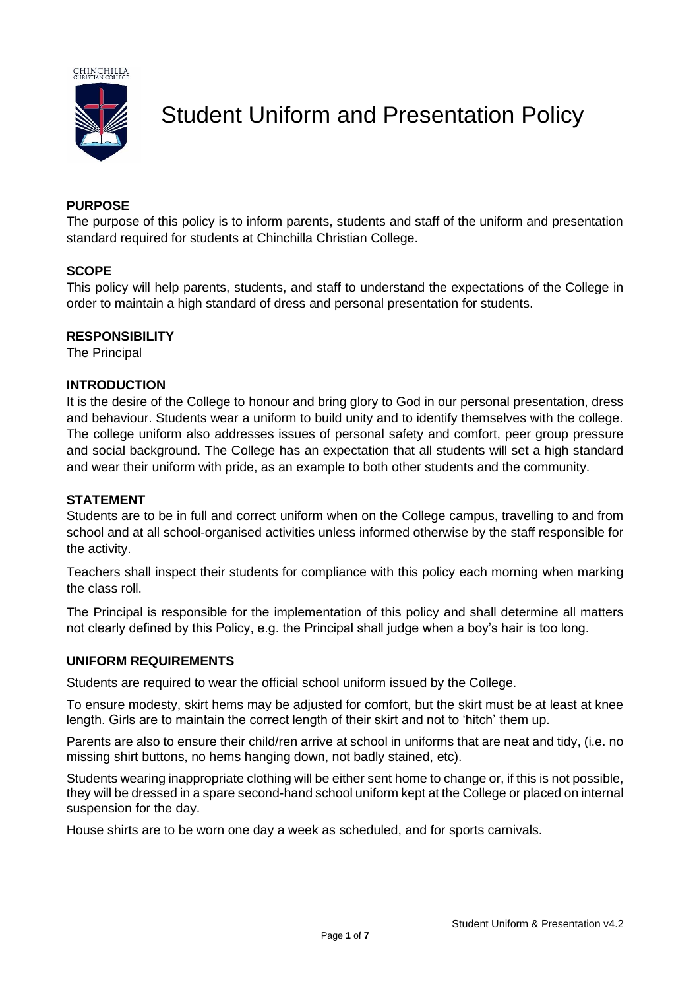

Student Uniform and Presentation Policy

# **PURPOSE**

The purpose of this policy is to inform parents, students and staff of the uniform and presentation standard required for students at Chinchilla Christian College.

## **SCOPE**

This policy will help parents, students, and staff to understand the expectations of the College in order to maintain a high standard of dress and personal presentation for students.

# **RESPONSIBILITY**

The Principal

# **INTRODUCTION**

It is the desire of the College to honour and bring glory to God in our personal presentation, dress and behaviour. Students wear a uniform to build unity and to identify themselves with the college. The college uniform also addresses issues of personal safety and comfort, peer group pressure and social background. The College has an expectation that all students will set a high standard and wear their uniform with pride, as an example to both other students and the community.

## **STATEMENT**

Students are to be in full and correct uniform when on the College campus, travelling to and from school and at all school-organised activities unless informed otherwise by the staff responsible for the activity.

Teachers shall inspect their students for compliance with this policy each morning when marking the class roll.

The Principal is responsible for the implementation of this policy and shall determine all matters not clearly defined by this Policy, e.g. the Principal shall judge when a boy's hair is too long.

## **UNIFORM REQUIREMENTS**

Students are required to wear the official school uniform issued by the College.

To ensure modesty, skirt hems may be adjusted for comfort, but the skirt must be at least at knee length. Girls are to maintain the correct length of their skirt and not to 'hitch' them up.

Parents are also to ensure their child/ren arrive at school in uniforms that are neat and tidy, (i.e. no missing shirt buttons, no hems hanging down, not badly stained, etc).

Students wearing inappropriate clothing will be either sent home to change or, if this is not possible, they will be dressed in a spare second-hand school uniform kept at the College or placed on internal suspension for the day.

House shirts are to be worn one day a week as scheduled, and for sports carnivals.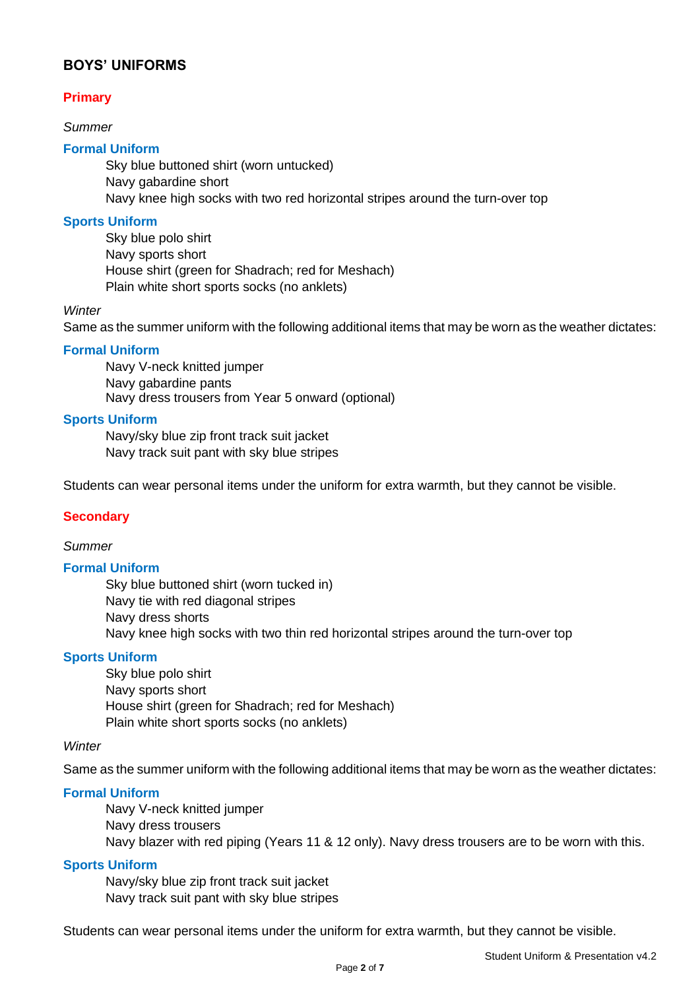# **BOYS' UNIFORMS**

# **Primary**

## *Summer*

## **Formal Uniform**

Sky blue buttoned shirt (worn untucked) Navy gabardine short Navy knee high socks with two red horizontal stripes around the turn-over top

### **Sports Uniform**

Sky blue polo shirt Navy sports short House shirt (green for Shadrach; red for Meshach) Plain white short sports socks (no anklets)

#### *Winter*

Same as the summer uniform with the following additional items that may be worn as the weather dictates:

### **Formal Uniform**

Navy V-neck knitted jumper Navy gabardine pants Navy dress trousers from Year 5 onward (optional)

### **Sports Uniform**

Navy/sky blue zip front track suit jacket Navy track suit pant with sky blue stripes

Students can wear personal items under the uniform for extra warmth, but they cannot be visible.

#### **Secondary**

## *Summer*

## **Formal Uniform**

Sky blue buttoned shirt (worn tucked in) Navy tie with red diagonal stripes Navy dress shorts Navy knee high socks with two thin red horizontal stripes around the turn-over top

## **Sports Uniform**

Sky blue polo shirt Navy sports short House shirt (green for Shadrach; red for Meshach) Plain white short sports socks (no anklets)

#### *Winter*

Same as the summer uniform with the following additional items that may be worn as the weather dictates:

## **Formal Uniform**

Navy V-neck knitted jumper Navy dress trousers Navy blazer with red piping (Years 11 & 12 only). Navy dress trousers are to be worn with this.

#### **Sports Uniform**

Navy/sky blue zip front track suit jacket Navy track suit pant with sky blue stripes

Students can wear personal items under the uniform for extra warmth, but they cannot be visible.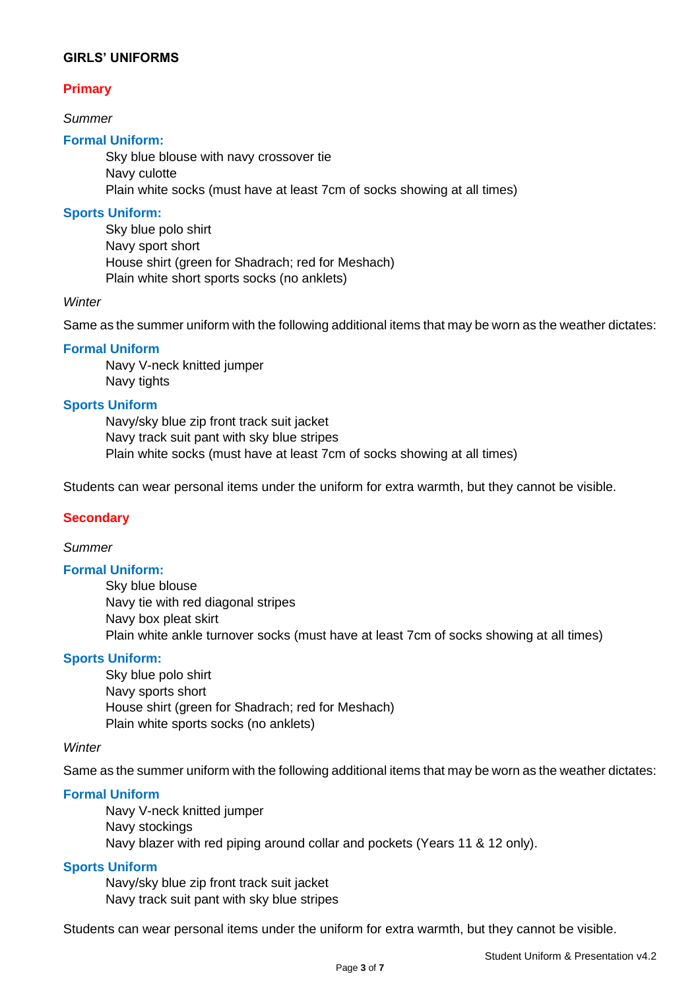# **GIRLS' UNIFORMS**

# **Primary**

*Summer*

## **Formal Uniform:**

Sky blue blouse with navy crossover tie Navy culotte Plain white socks (must have at least 7cm of socks showing at all times)

### **Sports Uniform:**

Sky blue polo shirt Navy sport short House shirt (green for Shadrach; red for Meshach) Plain white short sports socks (no anklets)

### *Winter*

Same as the summer uniform with the following additional items that may be worn as the weather dictates:

### **Formal Uniform**

Navy V-neck knitted jumper Navy tights

# **Sports Uniform**

Navy/sky blue zip front track suit jacket Navy track suit pant with sky blue stripes Plain white socks (must have at least 7cm of socks showing at all times)

Students can wear personal items under the uniform for extra warmth, but they cannot be visible.

## **Secondary**

#### *Summer*

#### **Formal Uniform:**

Sky blue blouse Navy tie with red diagonal stripes Navy box pleat skirt Plain white ankle turnover socks (must have at least 7cm of socks showing at all times)

### **Sports Uniform:**

Sky blue polo shirt Navy sports short House shirt (green for Shadrach; red for Meshach) Plain white sports socks (no anklets)

#### *Winter*

Same as the summer uniform with the following additional items that may be worn as the weather dictates:

### **Formal Uniform**

Navy V-neck knitted jumper Navy stockings Navy blazer with red piping around collar and pockets (Years 11 & 12 only).

#### **Sports Uniform**

Navy/sky blue zip front track suit jacket Navy track suit pant with sky blue stripes

Students can wear personal items under the uniform for extra warmth, but they cannot be visible.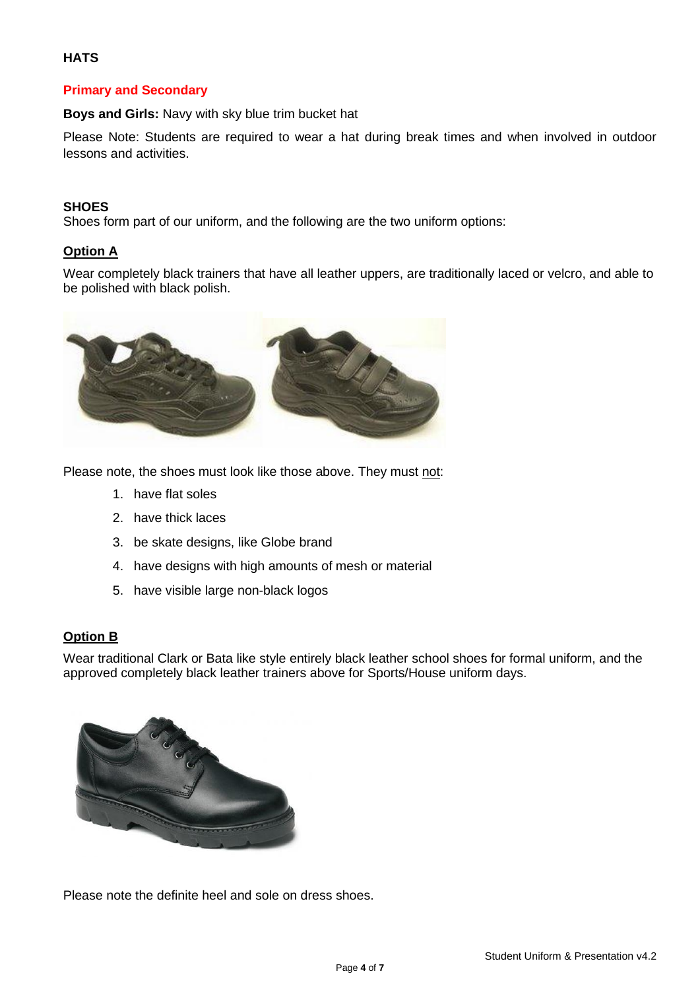# **HATS**

# **Primary and Secondary**

**Boys and Girls:** Navy with sky blue trim bucket hat

Please Note: Students are required to wear a hat during break times and when involved in outdoor lessons and activities.

## **SHOES**

Shoes form part of our uniform, and the following are the two uniform options:

# **Option A**

Wear completely black trainers that have all leather uppers, are traditionally laced or velcro, and able to be polished with black polish.



Please note, the shoes must look like those above. They must not:

- 1. have flat soles
- 2. have thick laces
- 3. be skate designs, like Globe brand
- 4. have designs with high amounts of mesh or material
- 5. have visible large non-black logos

## **Option B**

Wear traditional Clark or Bata like style entirely black leather school shoes for formal uniform, and the approved completely black leather trainers above for Sports/House uniform days.



Please note the definite heel and sole on dress shoes.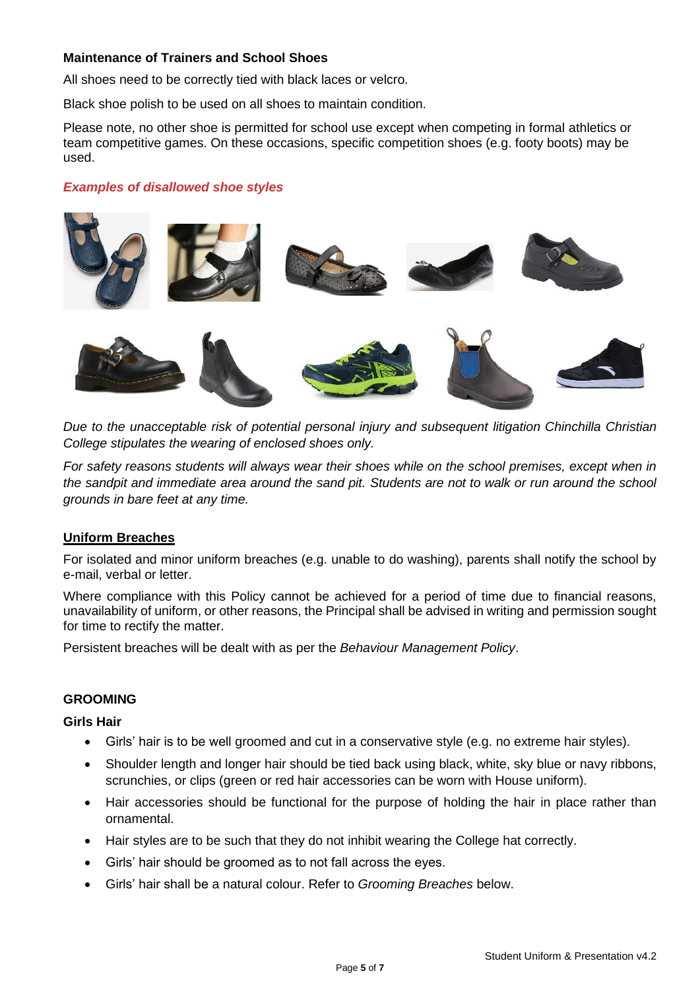# **Maintenance of Trainers and School Shoes**

All shoes need to be correctly tied with black laces or velcro.

Black shoe polish to be used on all shoes to maintain condition.

Please note, no other shoe is permitted for school use except when competing in formal athletics or team competitive games. On these occasions, specific competition shoes (e.g. footy boots) may be used.

### *Examples of disallowed shoe styles*



*Due to the unacceptable risk of potential personal injury and subsequent litigation Chinchilla Christian College stipulates the wearing of enclosed shoes only.*

*For safety reasons students will always wear their shoes while on the school premises, except when in the sandpit and immediate area around the sand pit. Students are not to walk or run around the school grounds in bare feet at any time.*

#### **Uniform Breaches**

For isolated and minor uniform breaches (e.g. unable to do washing), parents shall notify the school by e-mail, verbal or letter.

Where compliance with this Policy cannot be achieved for a period of time due to financial reasons, unavailability of uniform, or other reasons, the Principal shall be advised in writing and permission sought for time to rectify the matter.

Persistent breaches will be dealt with as per the *Behaviour Management Policy*.

#### **GROOMING**

#### **Girls Hair**

- Girls' hair is to be well groomed and cut in a conservative style (e.g. no extreme hair styles).
- Shoulder length and longer hair should be tied back using black, white, sky blue or navy ribbons, scrunchies, or clips (green or red hair accessories can be worn with House uniform).
- Hair accessories should be functional for the purpose of holding the hair in place rather than ornamental.
- Hair styles are to be such that they do not inhibit wearing the College hat correctly.
- Girls' hair should be groomed as to not fall across the eyes.
- Girls' hair shall be a natural colour. Refer to *Grooming Breaches* below.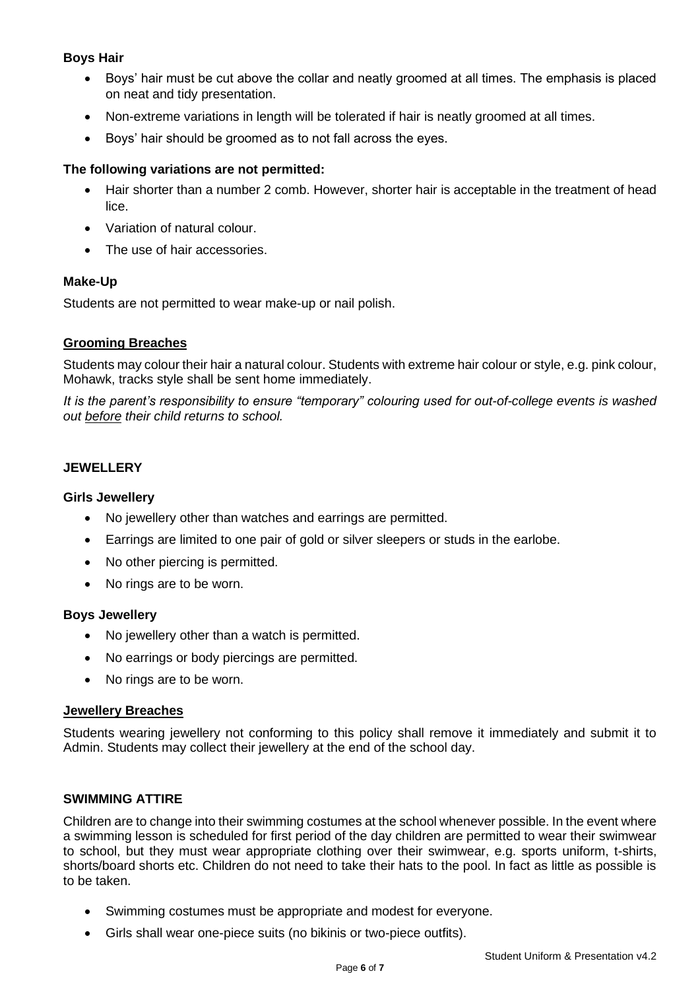# **Boys Hair**

- Boys' hair must be cut above the collar and neatly groomed at all times. The emphasis is placed on neat and tidy presentation.
- Non-extreme variations in length will be tolerated if hair is neatly groomed at all times.
- Boys' hair should be groomed as to not fall across the eyes.

## **The following variations are not permitted:**

- Hair shorter than a number 2 comb. However, shorter hair is acceptable in the treatment of head lice.
- Variation of natural colour.
- The use of hair accessories.

## **Make-Up**

Students are not permitted to wear make-up or nail polish.

### **Grooming Breaches**

Students may colour their hair a natural colour. Students with extreme hair colour or style, e.g. pink colour, Mohawk, tracks style shall be sent home immediately.

*It is the parent's responsibility to ensure "temporary" colouring used for out-of-college events is washed out before their child returns to school.*

## **JEWELLERY**

### **Girls Jewellery**

- No jewellery other than watches and earrings are permitted.
- Earrings are limited to one pair of gold or silver sleepers or studs in the earlobe.
- No other piercing is permitted.
- No rings are to be worn.

#### **Boys Jewellery**

- No jewellery other than a watch is permitted.
- No earrings or body piercings are permitted.
- No rings are to be worn.

#### **Jewellery Breaches**

Students wearing jewellery not conforming to this policy shall remove it immediately and submit it to Admin. Students may collect their jewellery at the end of the school day.

#### **SWIMMING ATTIRE**

Children are to change into their swimming costumes at the school whenever possible. In the event where a swimming lesson is scheduled for first period of the day children are permitted to wear their swimwear to school, but they must wear appropriate clothing over their swimwear, e.g. sports uniform, t-shirts, shorts/board shorts etc. Children do not need to take their hats to the pool. In fact as little as possible is to be taken.

- Swimming costumes must be appropriate and modest for everyone.
- Girls shall wear one-piece suits (no bikinis or two-piece outfits).